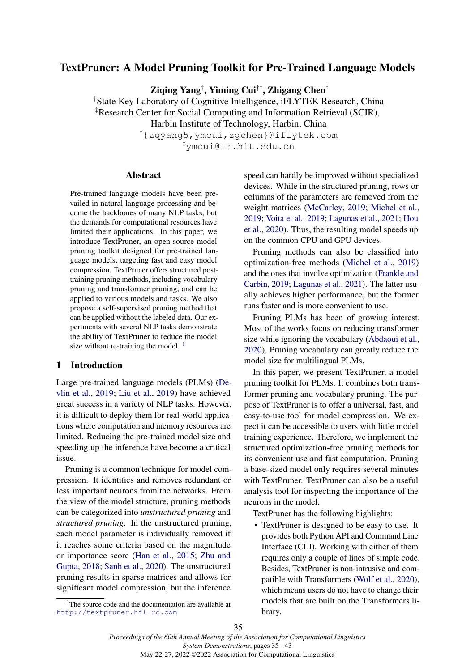# TextPruner: A Model Pruning Toolkit for Pre-Trained Language Models

Ziqing Yang† , Yiming Cui‡†, Zhigang Chen†

†State Key Laboratory of Cognitive Intelligence, iFLYTEK Research, China

‡Research Center for Social Computing and Information Retrieval (SCIR),

Harbin Institute of Technology, Harbin, China

†{zqyang5,ymcui,zgchen}@iflytek.com ‡ymcui@ir.hit.edu.cn

### Abstract

Pre-trained language models have been prevailed in natural language processing and become the backbones of many NLP tasks, but the demands for computational resources have limited their applications. In this paper, we introduce TextPruner, an open-source model pruning toolkit designed for pre-trained language models, targeting fast and easy model compression. TextPruner offers structured posttraining pruning methods, including vocabulary pruning and transformer pruning, and can be applied to various models and tasks. We also propose a self-supervised pruning method that can be applied without the labeled data. Our experiments with several NLP tasks demonstrate the ability of TextPruner to reduce the model size without re-training the model.  $<sup>1</sup>$  $<sup>1</sup>$  $<sup>1</sup>$ </sup>

# 1 Introduction

Large pre-trained language models (PLMs) [\(De](#page-6-0)[vlin et al.,](#page-6-0) [2019;](#page-6-0) [Liu et al.,](#page-6-1) [2019\)](#page-6-1) have achieved great success in a variety of NLP tasks. However, it is difficult to deploy them for real-world applications where computation and memory resources are limited. Reducing the pre-trained model size and speeding up the inference have become a critical issue.

Pruning is a common technique for model compression. It identifies and removes redundant or less important neurons from the networks. From the view of the model structure, pruning methods can be categorized into *unstructured pruning* and *structured pruning*. In the unstructured pruning, each model parameter is individually removed if it reaches some criteria based on the magnitude or importance score [\(Han et al.,](#page-6-2) [2015;](#page-6-2) [Zhu and](#page-7-0) [Gupta,](#page-7-0) [2018;](#page-7-0) [Sanh et al.,](#page-7-1) [2020\)](#page-7-1). The unstructured pruning results in sparse matrices and allows for significant model compression, but the inference

speed can hardly be improved without specialized devices. While in the structured pruning, rows or columns of the parameters are removed from the weight matrices [\(McCarley,](#page-7-2) [2019;](#page-7-2) [Michel et al.,](#page-7-3) [2019;](#page-7-3) [Voita et al.,](#page-7-4) [2019;](#page-7-4) [Lagunas et al.,](#page-6-3) [2021;](#page-6-3) [Hou](#page-6-4) [et al.,](#page-6-4) [2020\)](#page-6-4). Thus, the resulting model speeds up on the common CPU and GPU devices.

Pruning methods can also be classified into optimization-free methods [\(Michel et al.,](#page-7-3) [2019\)](#page-7-3) and the ones that involve optimization [\(Frankle and](#page-6-5) [Carbin,](#page-6-5) [2019;](#page-6-5) [Lagunas et al.,](#page-6-3) [2021\)](#page-6-3). The latter usually achieves higher performance, but the former runs faster and is more convenient to use.

Pruning PLMs has been of growing interest. Most of the works focus on reducing transformer size while ignoring the vocabulary [\(Abdaoui et al.,](#page-6-6) [2020\)](#page-6-6). Pruning vocabulary can greatly reduce the model size for multilingual PLMs.

In this paper, we present TextPruner, a model pruning toolkit for PLMs. It combines both transformer pruning and vocabulary pruning. The purpose of TextPruner is to offer a universal, fast, and easy-to-use tool for model compression. We expect it can be accessible to users with little model training experience. Therefore, we implement the structured optimization-free pruning methods for its convenient use and fast computation. Pruning a base-sized model only requires several minutes with TextPruner. TextPruner can also be a useful analysis tool for inspecting the importance of the neurons in the model.

TextPruner has the following highlights:

• TextPruner is designed to be easy to use. It provides both Python API and Command Line Interface (CLI). Working with either of them requires only a couple of lines of simple code. Besides, TextPruner is non-intrusive and compatible with Transformers [\(Wolf et al.,](#page-7-5) [2020\)](#page-7-5), which means users do not have to change their models that are built on the Transformers library.

<span id="page-0-0"></span><sup>&</sup>lt;sup>1</sup>The source code and the documentation are available at <http://textpruner.hfl-rc.com>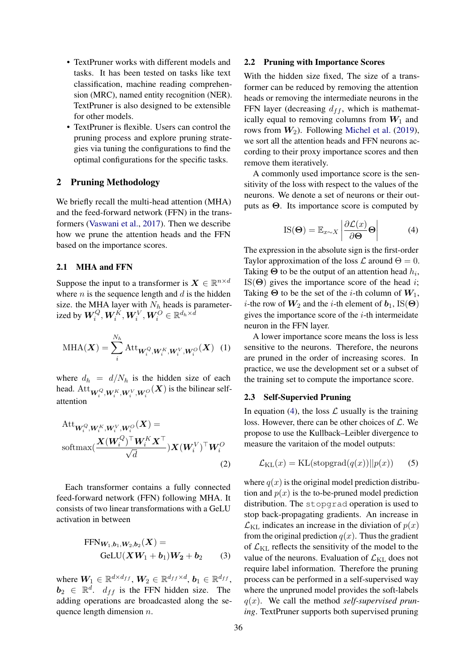- TextPruner works with different models and tasks. It has been tested on tasks like text classification, machine reading comprehension (MRC), named entity recognition (NER). TextPruner is also designed to be extensible for other models.
- TextPruner is flexible. Users can control the pruning process and explore pruning strategies via tuning the configurations to find the optimal configurations for the specific tasks.

# 2 Pruning Methodology

We briefly recall the multi-head attention (MHA) and the feed-forward network (FFN) in the transformers [\(Vaswani et al.,](#page-7-6) [2017\)](#page-7-6). Then we describe how we prune the attention heads and the FFN based on the importance scores.

# 2.1 MHA and FFN

Suppose the input to a transformer is  $X \in \mathbb{R}^{n \times d}$ where  $n$  is the sequence length and  $d$  is the hidden size. the MHA layer with  $N_h$  heads is parameterized by  $\boldsymbol{W}_i^Q, \boldsymbol{W}_i^K, \boldsymbol{W}_i^V, \boldsymbol{W}_i^O \in \mathbb{R}^{d_h \times \bar{d}}$ 

$$
\text{MHA}(\boldsymbol{X}) = \sum_{i}^{N_h} \text{Att}_{\boldsymbol{W}_i^Q, \boldsymbol{W}_i^K, \boldsymbol{W}_i^V, \boldsymbol{W}_i^O}(\boldsymbol{X}) \quad (1)
$$

where  $d_h = d/N_h$  is the hidden size of each head.  $\mathrm{Att}_{\mathbf{W}_i^Q, \mathbf{W}_i^K, \mathbf{W}_i^V, \mathbf{W}_i^O}(\mathbf{X})$  is the bilinear selfattention

$$
Att_{\boldsymbol{W}_i^Q, \boldsymbol{W}_i^K, \boldsymbol{W}_i^V, \boldsymbol{W}_i^O}(\boldsymbol{X}) = \nsoftmax(\frac{\boldsymbol{X}(\boldsymbol{W}_i^Q)^\top \boldsymbol{W}_i^K \boldsymbol{X}^\top}{\sqrt{d}}) \boldsymbol{X}(\boldsymbol{W}_i^V)^\top \boldsymbol{W}_i^O
$$
\n(2)

Each transformer contains a fully connected feed-forward network (FFN) following MHA. It consists of two linear transformations with a GeLU activation in between

$$
FFN_{\boldsymbol{W}_1,\boldsymbol{b}_1,\boldsymbol{W}_2,\boldsymbol{b}_2}(\boldsymbol{X}) =
$$
  
GeLU $(\boldsymbol{X}\boldsymbol{W}_1 + \boldsymbol{b}_1)\boldsymbol{W}_2 + \boldsymbol{b}_2$  (3)

where  $W_1 \in \mathbb{R}^{d \times d_{ff}}$ ,  $W_2 \in \mathbb{R}^{d_{ff} \times d}$ ,  $b_1 \in \mathbb{R}^{d_{ff}}$ ,  $\mathbf{b}_2 \in \mathbb{R}^d$ .  $d_{ff}$  is the FFN hidden size. The adding operations are broadcasted along the sequence length dimension  $n$ .

### 2.2 Pruning with Importance Scores

With the hidden size fixed, The size of a transformer can be reduced by removing the attention heads or removing the intermediate neurons in the FFN layer (decreasing  $d_{ff}$ , which is mathematically equal to removing columns from  $W_1$  and rows from  $W_2$ ). Following [Michel et al.](#page-7-3) [\(2019\)](#page-7-3), we sort all the attention heads and FFN neurons according to their proxy importance scores and then remove them iteratively.

A commonly used importance score is the sensitivity of the loss with respect to the values of the neurons. We denote a set of neurons or their outputs as  $\Theta$ . Its importance score is computed by

$$
IS(\mathbf{\Theta}) = \mathbb{E}_{x \sim X} \left| \frac{\partial \mathcal{L}(x)}{\partial \mathbf{\Theta}} \mathbf{\Theta} \right| \tag{4}
$$

<span id="page-1-0"></span>The expression in the absolute sign is the first-order Taylor approximation of the loss  $\mathcal L$  around  $\Theta = 0$ . Taking  $\Theta$  to be the output of an attention head  $h_i$ , IS( $\Theta$ ) gives the importance score of the head *i*; Taking  $\Theta$  to be the set of the *i*-th column of  $W_1$ , *i*-the row of  $W_2$  and the *i*-th element of  $b_1$ , IS( $\Theta$ ) gives the importance score of the  $i$ -th intermeidate neuron in the FFN layer.

A lower importance score means the loss is less sensitive to the neurons. Therefore, the neurons are pruned in the order of increasing scores. In practice, we use the development set or a subset of the training set to compute the importance score.

#### 2.3 Self-Supervied Pruning

In equation [\(4\)](#page-1-0), the loss  $\mathcal L$  usually is the training loss. However, there can be other choices of  $\mathcal{L}$ . We propose to use the Kullback–Leibler divergence to measure the varitaion of the model outputs:

<span id="page-1-1"></span>
$$
\mathcal{L}_{\text{KL}}(x) = \text{KL}(\text{stopgrad}(q(x))||p(x)) \qquad (5)
$$

where  $q(x)$  is the original model prediction distribution and  $p(x)$  is the to-be-pruned model prediction distribution. The stopgrad operation is used to stop back-propagating gradients. An increase in  $\mathcal{L}_{\text{KL}}$  indicates an increase in the diviation of  $p(x)$ from the original prediction  $q(x)$ . Thus the gradient of  $\mathcal{L}_{\text{KL}}$  reflects the sensitivity of the model to the value of the neurons. Evaluation of  $\mathcal{L}_{\text{KL}}$  does not require label information. Therefore the pruning process can be performed in a self-supervised way where the unpruned model provides the soft-labels q(x). We call the method *self-supervised pruning*. TextPruner supports both supervised pruning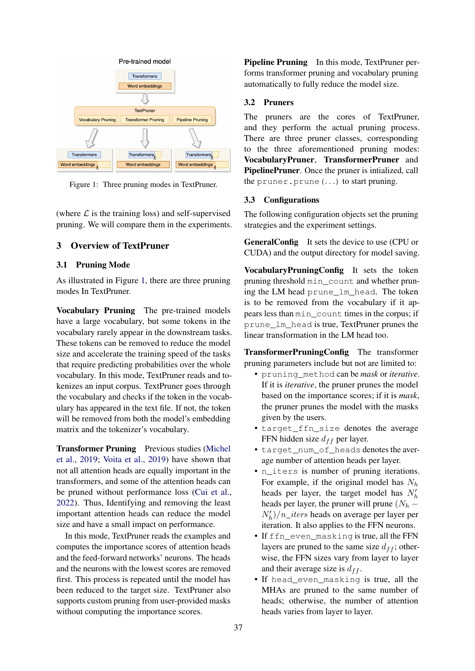<span id="page-2-0"></span>

Figure 1: Three pruning modes in TextPruner.

(where  $\mathcal L$  is the training loss) and self-supervised pruning. We will compare them in the experiments.

# 3 Overview of TextPruner

## 3.1 Pruning Mode

As illustrated in Figure [1,](#page-2-0) there are three pruning modes In TextPruner.

Vocabulary Pruning The pre-trained models have a large vocabulary, but some tokens in the vocabulary rarely appear in the downstream tasks. These tokens can be removed to reduce the model size and accelerate the training speed of the tasks that require predicting probabilities over the whole vocabulary. In this mode, TextPruner reads and tokenizes an input corpus. TextPruner goes through the vocabulary and checks if the token in the vocabulary has appeared in the text file. If not, the token will be removed from both the model's embedding matrix and the tokenizer's vocabulary.

Transformer Pruning Previous studies [\(Michel](#page-7-3) [et al.,](#page-7-3) [2019;](#page-7-3) [Voita et al.,](#page-7-4) [2019\)](#page-7-4) have shown that not all attention heads are equally important in the transformers, and some of the attention heads can be pruned without performance loss [\(Cui et al.,](#page-6-7) [2022\)](#page-6-7). Thus, Identifying and removing the least important attention heads can reduce the model size and have a small impact on performance.

In this mode, TextPruner reads the examples and computes the importance scores of attention heads and the feed-forward networks' neurons. The heads and the neurons with the lowest scores are removed first. This process is repeated until the model has been reduced to the target size. TextPruner also supports custom pruning from user-provided masks without computing the importance scores.

Pipeline Pruning In this mode, TextPruner performs transformer pruning and vocabulary pruning automatically to fully reduce the model size.

# 3.2 Pruners

The pruners are the cores of TextPruner, and they perform the actual pruning process. There are three pruner classes, corresponding to the three aforementioned pruning modes: VocabularyPruner, TransformerPruner and PipelinePruner. Once the pruner is intialized, call the pruner.prune(. . .) to start pruning.

### 3.3 Configurations

The following configuration objects set the pruning strategies and the experiment settings.

GeneralConfig It sets the device to use (CPU or CUDA) and the output directory for model saving.

VocabularyPruningConfig It sets the token pruning threshold min\_count and whether pruning the LM head prune\_lm\_head. The token is to be removed from the vocabulary if it appears less than min\_count times in the corpus; if prune\_lm\_head is true, TextPruner prunes the linear transformation in the LM head too.

TransformerPruningConfig The transformer pruning parameters include but not are limited to:

- pruning\_method can be *mask* or *iterative*. If it is *iterative*, the pruner prunes the model based on the importance scores; if it is *mask*, the pruner prunes the model with the masks given by the users.
- target\_ffn\_size denotes the average FFN hidden size  $d_{ff}$  per layer.
- target\_num\_of\_heads denotes the average number of attention heads per layer.
- n\_iters is number of pruning iterations. For example, if the original model has  $N_h$ heads per layer, the target model has  $N_h'$ heads per layer, the pruner will prune ( $N_h$  –  $N'_h$ )/n\_iters heads on average per layer per iteration. It also applies to the FFN neurons.
- If ffn\_even\_masking is true, all the FFN layers are pruned to the same size  $d_{ff}$ ; otherwise, the FFN sizes vary from layer to layer and their average size is  $d_{ff}$ .
- If head\_even\_masking is true, all the MHAs are pruned to the same number of heads; otherwise, the number of attention heads varies from layer to layer.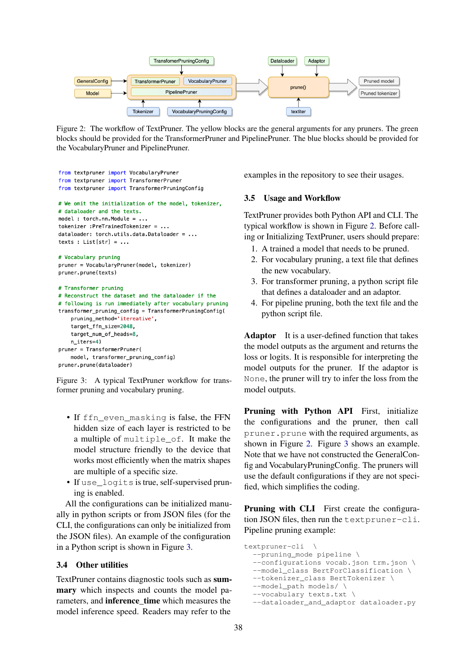<span id="page-3-1"></span>

Figure 2: The workflow of TextPruner. The yellow blocks are the general arguments for any pruners. The green blocks should be provided for the TransformerPruner and PipelinePruner. The blue blocks should be provided for the VocabularyPruner and PipelinePruner.

```
from textpruner import VocabularyPruner
from textpruner import TransformerPruner
from textpruner import TransformerPruningConfig
# We omit the initialization of the model, tokenizer,
# dataloader and the texts.
model : torch.nn.Module = ...
tokenizer: PreTrainedTokenizer = \ldotsdataloader: torch.utils.data.Dataloader = ...
texts : List[str] = ...
# Vocabulary pruning
pruner = VocabularyPruner(model, tokenizer)
pruner.prune(texts)
# Transformer pruning
# Reconstruct the dataset and the dataloader if the
# following is run immediately after vocabulary pruning
transformer_pruning_config = TransformerPruningConfig(
    pruning method='itereative'.
    target_ffn_size=2048,
    target_num_of_heads=8,
    n_iters=4)
pruner = TransformerPruner(
    model, transformer_pruning_config)
```
pruner.prune(dataloader)

Figure 3: A typical TextPruner workflow for transformer pruning and vocabulary pruning.

- If ffn\_even\_masking is false, the FFN hidden size of each layer is restricted to be a multiple of multiple\_of. It make the model structure friendly to the device that works most efficiently when the matrix shapes are multiple of a specific size.
- If use\_logits is true, self-supervised pruning is enabled.

All the configurations can be initialized manually in python scripts or from JSON files (for the CLI, the configurations can only be initialized from the JSON files). An example of the configuration in a Python script is shown in Figure [3.](#page-3-0)

# 3.4 Other utilities

TextPruner contains diagnostic tools such as summary which inspects and counts the model parameters, and inference\_time which measures the model inference speed. Readers may refer to the

examples in the repository to see their usages.

### 3.5 Usage and Workflow

TextPruner provides both Python API and CLI. The typical workflow is shown in Figure [2.](#page-3-1) Before calling or Initializing TextPruner, users should prepare:

- 1. A trained a model that needs to be pruned.
- 2. For vocabulary pruning, a text file that defines the new vocabulary.
- 3. For transformer pruning, a python script file that defines a dataloader and an adaptor.
- 4. For pipeline pruning, both the text file and the python script file.

Adaptor It is a user-defined function that takes the model outputs as the argument and returns the loss or logits. It is responsible for interpreting the model outputs for the pruner. If the adaptor is None, the pruner will try to infer the loss from the model outputs.

Pruning with Python API First, initialize the configurations and the pruner, then call pruner.prune with the required arguments, as shown in Figure [2.](#page-3-1) Figure [3](#page-3-0) shows an example. Note that we have not constructed the GeneralConfig and VocabularyPruningConfig. The pruners will use the default configurations if they are not specified, which simplifies the coding.

Pruning with CLI First create the configuration JSON files, then run the textpruner-cli. Pipeline pruning example:

```
textpruner-cli \
  --pruning mode pipeline \
  --configurations vocab.json trm.json \
  --model_class BertForClassification \
  --tokenizer_class BertTokenizer \
  --model_path models/ \
  --vocabulary texts.txt \
  --dataloader_and_adaptor dataloader.py
```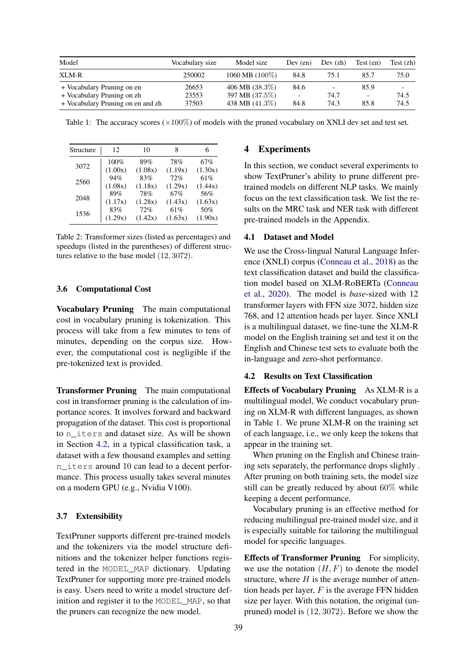<span id="page-4-1"></span>

| Model                                                    | Vocabulary size | Model size                          | Dev (en)                         | Dev (zh)  | Test (en)<br>85.7                | Test(zh)<br>75.0 |
|----------------------------------------------------------|-----------------|-------------------------------------|----------------------------------|-----------|----------------------------------|------------------|
| XLM-R                                                    | 250002          | 1060 MB (100%)                      | 84.8                             | 75.1      |                                  |                  |
| + Vocabulary Pruning on en<br>+ Vocabulary Pruning on zh | 26653<br>23553  | 406 MB $(38.3\%)$<br>397 MB (37.5%) | 84.6<br>$\overline{\phantom{a}}$ | -<br>74.7 | 85.9<br>$\overline{\phantom{0}}$ | 74.5             |
| + Vocabulary Pruning on en and zh                        | 37503           | 438 MB $(41.3\%)$                   | 84.8                             | 74.3      | 85.8                             | 74.5             |

Table 1: The accuracy scores  $(\times 100\%)$  of models with the pruned vocabulary on XNLI dev set and test set.

<span id="page-4-2"></span>

| Structure | 12      | 10      | 8       |         |
|-----------|---------|---------|---------|---------|
| 3072      | 100%    | 89%     | 78%     | 67%     |
|           | (1.00x) | (1.08x) | (1.19x) | (1.30x) |
| 2560      | 94%     | 83%     | 72%     | 61%     |
|           | (1.08x) | (1.18x) | (1.29x) | (1.44x) |
| 2048      | 89%     | 78%     | 67%     | 56%     |
|           | (1.17x) | (1.28x) | (1.43x) | (1.63x) |
| 1536      | 83%     | 72%     | 61%     | 50%     |
|           | (1.29x) | (1.42x) | (1.63x) | (1.90x) |

Table 2: Transformer sizes (listed as percentages) and speedups (listed in the parentheses) of different structures relative to the base model (12, 3072).

#### 3.6 Computational Cost

Vocabulary Pruning The main computational cost in vocabulary pruning is tokenization. This process will take from a few minutes to tens of minutes, depending on the corpus size. However, the computational cost is negligible if the pre-tokenized text is provided.

**Transformer Pruning** The main computational cost in transformer pruning is the calculation of importance scores. It involves forward and backward propagation of the dataset. This cost is proportional to n\_iters and dataset size. As will be shown in Section [4.2,](#page-4-0) in a typical classification task, a dataset with a few thousand examples and setting n\_iters around 10 can lead to a decent performance. This process usually takes several minutes on a modern GPU (e.g., Nvidia V100).

#### 3.7 Extensibility

TextPruner supports different pre-trained models and the tokenizers via the model structure definitions and the tokenizer helper functions registered in the MODEL\_MAP dictionary. Updating TextPruner for supporting more pre-trained models is easy. Users need to write a model structure definition and register it to the MODEL\_MAP, so that the pruners can recognize the new model.

# 4 Experiments

In this section, we conduct several experiments to show TextPruner's ability to prune different pretrained models on different NLP tasks. We mainly focus on the text classification task. We list the results on the MRC task and NER task with different pre-trained models in the Appendix.

### 4.1 Dataset and Model

We use the Cross-lingual Natural Language Inference (XNLI) corpus [\(Conneau et al.,](#page-6-8) [2018\)](#page-6-8) as the text classification dataset and build the classification model based on XLM-RoBERTa [\(Conneau](#page-6-9) [et al.,](#page-6-9) [2020\)](#page-6-9). The model is *base*-sized with 12 transformer layers with FFN size 3072, hidden size 768, and 12 attention heads per layer. Since XNLI is a multilingual dataset, we fine-tune the XLM-R model on the English training set and test it on the English and Chinese test sets to evaluate both the in-language and zero-shot performance.

## <span id="page-4-0"></span>4.2 Results on Text Classification

Effects of Vocabulary Pruning As XLM-R is a multilingual model, We conduct vocabulary pruning on XLM-R with different languages, as shown in Table [1.](#page-4-1) We prune XLM-R on the training set of each language, i.e., we only keep the tokens that appear in the training set.

When pruning on the English and Chinese training sets separately, the performance drops slightly . After pruning on both training sets, the model size still can be greatly reduced by about 60% while keeping a decent performance.

Vocabulary pruning is an effective method for reducing multilingual pre-trained model size, and it is especially suitable for tailoring the multilingual model for specific languages.

Effects of Transformer Pruning For simplicity, we use the notation  $(H, F)$  to denote the model structure, where  $H$  is the average number of attention heads per layer,  $F$  is the average FFN hidden size per layer. With this notation, the original (unpruned) model is (12, 3072). Before we show the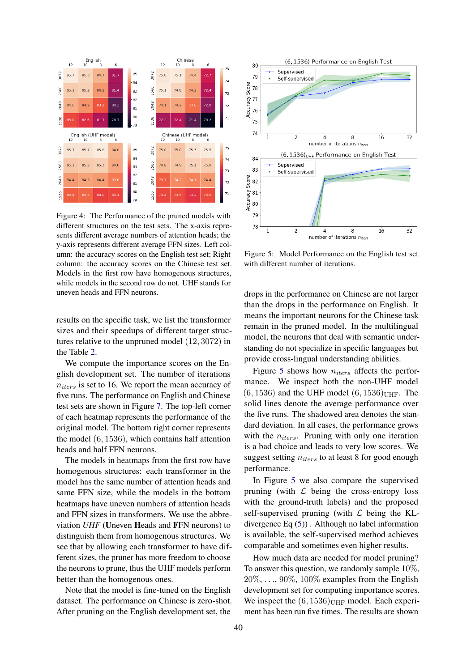

Figure 4: The Performance of the pruned models with different structures on the test sets. The x-axis represents different average numbers of attention heads; the y-axis represents different average FFN sizes. Left column: the accuracy scores on the English test set; Right column: the accuracy scores on the Chinese test set. Models in the first row have homogenous structures, while models in the second row do not. UHF stands for uneven heads and FFN neurons.

results on the specific task, we list the transformer sizes and their speedups of different target structures relative to the unpruned model (12, 3072) in the Table [2.](#page-4-2)

We compute the importance scores on the English development set. The number of iterations  $n_{iters}$  is set to 16. We report the mean accuracy of five runs. The performance on English and Chinese test sets are shown in Figure [7.](#page-8-0) The top-left corner of each heatmap represents the performance of the original model. The bottom right corner represents the model (6, 1536), which contains half attention heads and half FFN neurons.

The models in heatmaps from the first row have homogenous structures: each transformer in the model has the same number of attention heads and same FFN size, while the models in the bottom heatmaps have uneven numbers of attention heads and FFN sizes in transformers. We use the abbreviation *UHF* (Uneven Heads and FFN neurons) to distinguish them from homogenous structures. We see that by allowing each transformer to have different sizes, the pruner has more freedom to choose the neurons to prune, thus the UHF models perform better than the homogenous ones.

Note that the model is fine-tuned on the English dataset. The performance on Chinese is zero-shot. After pruning on the English development set, the

<span id="page-5-0"></span>

Figure 5: Model Performance on the English test set with different number of iterations.

drops in the performance on Chinese are not larger than the drops in the performance on English. It means the important neurons for the Chinese task remain in the pruned model. In the multilingual model, the neurons that deal with semantic understanding do not specialize in specific languages but provide cross-lingual understanding abilities.

Figure [5](#page-5-0) shows how  $n_{iters}$  affects the performance. We inspect both the non-UHF model  $(6, 1536)$  and the UHF model  $(6, 1536)$ <sub>UHF</sub>. The solid lines denote the average performance over the five runs. The shadowed area denotes the standard deviation. In all cases, the performance grows with the  $n_{iters}$ . Pruning with only one iteration is a bad choice and leads to very low scores. We suggest setting  $n_{iters}$  to at least 8 for good enough performance.

In Figure [5](#page-5-0) we also compare the supervised pruning (with  $\mathcal L$  being the cross-entropy loss with the ground-truth labels) and the proposed self-supervised pruning (with  $\mathcal L$  being the KLdivergence Eq [\(5\)](#page-1-1)) . Although no label information is available, the self-supervised method achieves comparable and sometimes even higher results.

How much data are needed for model pruning? To answer this question, we randomly sample 10%,  $20\%, \ldots, 90\%, 100\%$  examples from the English development set for computing importance scores. We inspect the  $(6, 1536)$ <sub>UHF</sub> model. Each experiment has been run five times. The results are shown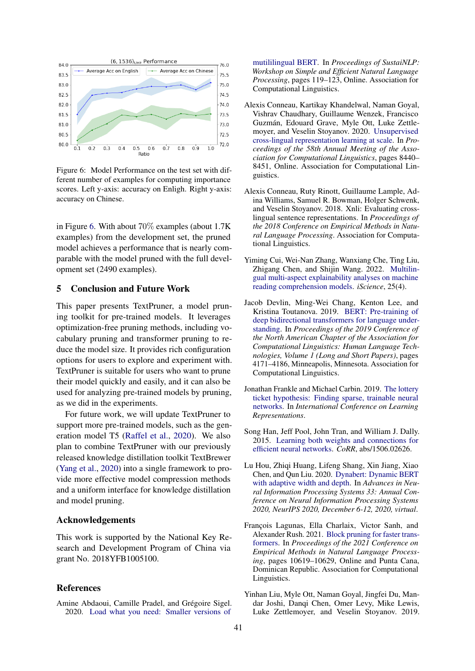<span id="page-6-10"></span>

Figure 6: Model Performance on the test set with different number of examples for computing importance scores. Left y-axis: accuracy on Enligh. Right y-axis: accuracy on Chinese.

in Figure [6.](#page-6-10) With about 70% examples (about 1.7K examples) from the development set, the pruned model achieves a performance that is nearly comparable with the model pruned with the full development set (2490 examples).

# 5 Conclusion and Future Work

This paper presents TextPruner, a model pruning toolkit for pre-trained models. It leverages optimization-free pruning methods, including vocabulary pruning and transformer pruning to reduce the model size. It provides rich configuration options for users to explore and experiment with. TextPruner is suitable for users who want to prune their model quickly and easily, and it can also be used for analyzing pre-trained models by pruning, as we did in the experiments.

For future work, we will update TextPruner to support more pre-trained models, such as the generation model T5 [\(Raffel et al.,](#page-7-7) [2020\)](#page-7-7). We also plan to combine TextPruner with our previously released knowledge distillation toolkit TextBrewer [\(Yang et al.,](#page-7-8) [2020\)](#page-7-8) into a single framework to provide more effective model compression methods and a uniform interface for knowledge distillation and model pruning.

# Acknowledgements

This work is supported by the National Key Research and Development Program of China via grant No. 2018YFB1005100.

### References

<span id="page-6-6"></span>Amine Abdaoui, Camille Pradel, and Grégoire Sigel. 2020. [Load what you need: Smaller versions of](https://doi.org/10.18653/v1/2020.sustainlp-1.16)

[mutililingual BERT.](https://doi.org/10.18653/v1/2020.sustainlp-1.16) In *Proceedings of SustaiNLP: Workshop on Simple and Efficient Natural Language Processing*, pages 119–123, Online. Association for Computational Linguistics.

- <span id="page-6-9"></span>Alexis Conneau, Kartikay Khandelwal, Naman Goyal, Vishrav Chaudhary, Guillaume Wenzek, Francisco Guzmán, Edouard Grave, Myle Ott, Luke Zettlemoyer, and Veselin Stoyanov. 2020. [Unsupervised](https://doi.org/10.18653/v1/2020.acl-main.747) [cross-lingual representation learning at scale.](https://doi.org/10.18653/v1/2020.acl-main.747) In *Proceedings of the 58th Annual Meeting of the Association for Computational Linguistics*, pages 8440– 8451, Online. Association for Computational Linguistics.
- <span id="page-6-8"></span>Alexis Conneau, Ruty Rinott, Guillaume Lample, Adina Williams, Samuel R. Bowman, Holger Schwenk, and Veselin Stoyanov. 2018. Xnli: Evaluating crosslingual sentence representations. In *Proceedings of the 2018 Conference on Empirical Methods in Natural Language Processing*. Association for Computational Linguistics.
- <span id="page-6-7"></span>Yiming Cui, Wei-Nan Zhang, Wanxiang Che, Ting Liu, Zhigang Chen, and Shijin Wang. 2022. [Multilin](https://doi.org/https://doi.org/10.1016/j.isci.2022.104176)[gual multi-aspect explainability analyses on machine](https://doi.org/https://doi.org/10.1016/j.isci.2022.104176) [reading comprehension models.](https://doi.org/https://doi.org/10.1016/j.isci.2022.104176) *iScience*, 25(4).
- <span id="page-6-0"></span>Jacob Devlin, Ming-Wei Chang, Kenton Lee, and Kristina Toutanova. 2019. [BERT: Pre-training of](https://doi.org/10.18653/v1/N19-1423) [deep bidirectional transformers for language under](https://doi.org/10.18653/v1/N19-1423)[standing.](https://doi.org/10.18653/v1/N19-1423) In *Proceedings of the 2019 Conference of the North American Chapter of the Association for Computational Linguistics: Human Language Technologies, Volume 1 (Long and Short Papers)*, pages 4171–4186, Minneapolis, Minnesota. Association for Computational Linguistics.
- <span id="page-6-5"></span>Jonathan Frankle and Michael Carbin. 2019. [The lottery](https://openreview.net/forum?id=rJl-b3RcF7) [ticket hypothesis: Finding sparse, trainable neural](https://openreview.net/forum?id=rJl-b3RcF7) [networks.](https://openreview.net/forum?id=rJl-b3RcF7) In *International Conference on Learning Representations*.
- <span id="page-6-2"></span>Song Han, Jeff Pool, John Tran, and William J. Dally. 2015. [Learning both weights and connections for](http://arxiv.org/abs/1506.02626) [efficient neural networks.](http://arxiv.org/abs/1506.02626) *CoRR*, abs/1506.02626.
- <span id="page-6-4"></span>Lu Hou, Zhiqi Huang, Lifeng Shang, Xin Jiang, Xiao Chen, and Qun Liu. 2020. [Dynabert: Dynamic BERT](https://proceedings.neurips.cc/paper/2020/hash/6f5216f8d89b086c18298e043bfe48ed-Abstract.html) [with adaptive width and depth.](https://proceedings.neurips.cc/paper/2020/hash/6f5216f8d89b086c18298e043bfe48ed-Abstract.html) In *Advances in Neural Information Processing Systems 33: Annual Conference on Neural Information Processing Systems 2020, NeurIPS 2020, December 6-12, 2020, virtual*.
- <span id="page-6-3"></span>François Lagunas, Ella Charlaix, Victor Sanh, and Alexander Rush. 2021. [Block pruning for faster trans](https://doi.org/10.18653/v1/2021.emnlp-main.829)[formers.](https://doi.org/10.18653/v1/2021.emnlp-main.829) In *Proceedings of the 2021 Conference on Empirical Methods in Natural Language Processing*, pages 10619–10629, Online and Punta Cana, Dominican Republic. Association for Computational Linguistics.
- <span id="page-6-1"></span>Yinhan Liu, Myle Ott, Naman Goyal, Jingfei Du, Mandar Joshi, Danqi Chen, Omer Levy, Mike Lewis, Luke Zettlemoyer, and Veselin Stoyanov. 2019.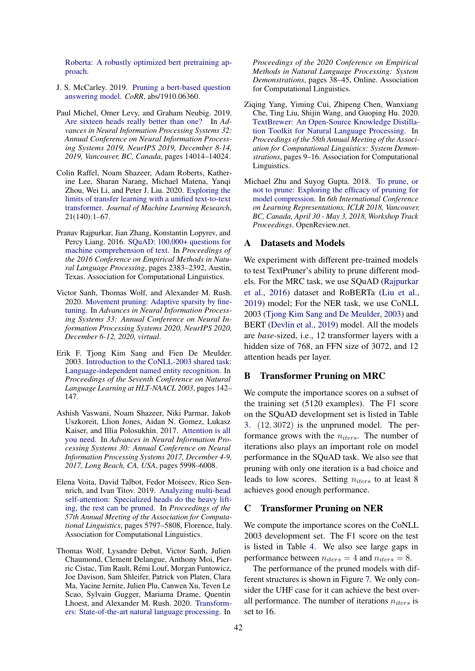[Roberta: A robustly optimized bert pretraining ap](http://arxiv.org/abs/1907.11692)[proach.](http://arxiv.org/abs/1907.11692)

- <span id="page-7-2"></span>J. S. McCarley. 2019. [Pruning a bert-based question](http://arxiv.org/abs/1910.06360) [answering model.](http://arxiv.org/abs/1910.06360) *CoRR*, abs/1910.06360.
- <span id="page-7-3"></span>Paul Michel, Omer Levy, and Graham Neubig. 2019. [Are sixteen heads really better than one?](https://proceedings.neurips.cc/paper/2019/hash/2c601ad9d2ff9bc8b282670cdd54f69f-Abstract.html) In *Advances in Neural Information Processing Systems 32: Annual Conference on Neural Information Processing Systems 2019, NeurIPS 2019, December 8-14, 2019, Vancouver, BC, Canada*, pages 14014–14024.
- <span id="page-7-7"></span>Colin Raffel, Noam Shazeer, Adam Roberts, Katherine Lee, Sharan Narang, Michael Matena, Yanqi Zhou, Wei Li, and Peter J. Liu. 2020. [Exploring the](http://jmlr.org/papers/v21/20-074.html) [limits of transfer learning with a unified text-to-text](http://jmlr.org/papers/v21/20-074.html) [transformer.](http://jmlr.org/papers/v21/20-074.html) *Journal of Machine Learning Research*, 21(140):1–67.
- <span id="page-7-9"></span>Pranav Rajpurkar, Jian Zhang, Konstantin Lopyrev, and Percy Liang. 2016. [SQuAD: 100,000+ questions for](https://doi.org/10.18653/v1/D16-1264) [machine comprehension of text.](https://doi.org/10.18653/v1/D16-1264) In *Proceedings of the 2016 Conference on Empirical Methods in Natural Language Processing*, pages 2383–2392, Austin, Texas. Association for Computational Linguistics.
- <span id="page-7-1"></span>Victor Sanh, Thomas Wolf, and Alexander M. Rush. 2020. [Movement pruning: Adaptive sparsity by fine](https://proceedings.neurips.cc/paper/2020/hash/eae15aabaa768ae4a5993a8a4f4fa6e4-Abstract.html)[tuning.](https://proceedings.neurips.cc/paper/2020/hash/eae15aabaa768ae4a5993a8a4f4fa6e4-Abstract.html) In *Advances in Neural Information Processing Systems 33: Annual Conference on Neural Information Processing Systems 2020, NeurIPS 2020, December 6-12, 2020, virtual*.
- <span id="page-7-10"></span>Erik F. Tjong Kim Sang and Fien De Meulder. 2003. [Introduction to the CoNLL-2003 shared task:](https://aclanthology.org/W03-0419) [Language-independent named entity recognition.](https://aclanthology.org/W03-0419) In *Proceedings of the Seventh Conference on Natural Language Learning at HLT-NAACL 2003*, pages 142– 147.
- <span id="page-7-6"></span>Ashish Vaswani, Noam Shazeer, Niki Parmar, Jakob Uszkoreit, Llion Jones, Aidan N. Gomez, Lukasz Kaiser, and Illia Polosukhin. 2017. [Attention is all](https://proceedings.neurips.cc/paper/2017/hash/3f5ee243547dee91fbd053c1c4a845aa-Abstract.html) [you need.](https://proceedings.neurips.cc/paper/2017/hash/3f5ee243547dee91fbd053c1c4a845aa-Abstract.html) In *Advances in Neural Information Processing Systems 30: Annual Conference on Neural Information Processing Systems 2017, December 4-9, 2017, Long Beach, CA, USA*, pages 5998–6008.
- <span id="page-7-4"></span>Elena Voita, David Talbot, Fedor Moiseev, Rico Sennrich, and Ivan Titov. 2019. [Analyzing multi-head](https://doi.org/10.18653/v1/P19-1580) [self-attention: Specialized heads do the heavy lift](https://doi.org/10.18653/v1/P19-1580)[ing, the rest can be pruned.](https://doi.org/10.18653/v1/P19-1580) In *Proceedings of the 57th Annual Meeting of the Association for Computational Linguistics*, pages 5797–5808, Florence, Italy. Association for Computational Linguistics.
- <span id="page-7-5"></span>Thomas Wolf, Lysandre Debut, Victor Sanh, Julien Chaumond, Clement Delangue, Anthony Moi, Pierric Cistac, Tim Rault, Rémi Louf, Morgan Funtowicz, Joe Davison, Sam Shleifer, Patrick von Platen, Clara Ma, Yacine Jernite, Julien Plu, Canwen Xu, Teven Le Scao, Sylvain Gugger, Mariama Drame, Quentin Lhoest, and Alexander M. Rush. 2020. [Transform](https://www.aclweb.org/anthology/2020.emnlp-demos.6)[ers: State-of-the-art natural language processing.](https://www.aclweb.org/anthology/2020.emnlp-demos.6) In

*Proceedings of the 2020 Conference on Empirical Methods in Natural Language Processing: System Demonstrations*, pages 38–45, Online. Association for Computational Linguistics.

- <span id="page-7-8"></span>Ziqing Yang, Yiming Cui, Zhipeng Chen, Wanxiang Che, Ting Liu, Shijin Wang, and Guoping Hu. 2020. [TextBrewer: An Open-Source Knowledge Distilla](https://www.aclweb.org/anthology/2020.acl-demos.2)[tion Toolkit for Natural Language Processing.](https://www.aclweb.org/anthology/2020.acl-demos.2) In *Proceedings of the 58th Annual Meeting of the Association for Computational Linguistics: System Demonstrations*, pages 9–16. Association for Computational Linguistics.
- <span id="page-7-0"></span>Michael Zhu and Suyog Gupta. 2018. [To prune, or](https://openreview.net/forum?id=Sy1iIDkPM) [not to prune: Exploring the efficacy of pruning for](https://openreview.net/forum?id=Sy1iIDkPM) [model compression.](https://openreview.net/forum?id=Sy1iIDkPM) In *6th International Conference on Learning Representations, ICLR 2018, Vancouver, BC, Canada, April 30 - May 3, 2018, Workshop Track Proceedings*. OpenReview.net.

# A Datasets and Models

We experiment with different pre-trained models to test TextPruner's ability to prune different models. For the MRC task, we use SQuAD [\(Rajpurkar](#page-7-9) [et al.,](#page-7-9) [2016\)](#page-7-9) dataset and RoBERTa [\(Liu et al.,](#page-6-1) [2019\)](#page-6-1) model; For the NER task, we use CoNLL 2003 [\(Tjong Kim Sang and De Meulder,](#page-7-10) [2003\)](#page-7-10) and BERT [\(Devlin et al.,](#page-6-0) [2019\)](#page-6-0) model. All the models are *base*-sized, i.e., 12 transformer layers with a hidden size of 768, an FFN size of 3072, and 12 attention heads per layer.

### B Transformer Pruning on MRC

We compute the importance scores on a subset of the training set (5120 examples). The F1 score on the SQuAD development set is listed in Table [3.](#page-8-1) (12, 3072) is the unpruned model. The performance grows with the  $n_{iters}$ . The number of iterations also plays an important role on model performance in the SQuAD task. We also see that pruning with only one iteration is a bad choice and leads to low scores. Setting  $n_{iters}$  to at least 8 achieves good enough performance.

### C Transformer Pruning on NER

We compute the importance scores on the CoNLL 2003 development set. The F1 score on the test is listed in Table [4.](#page-8-2) We also see large gaps in performance between  $n_{iters} = 4$  and  $n_{iters} = 8$ .

The performance of the pruned models with different structures is shown in Figure [7.](#page-8-0) We only consider the UHF case for it can achieve the best overall performance. The number of iterations  $n_{iters}$  is set to 16.